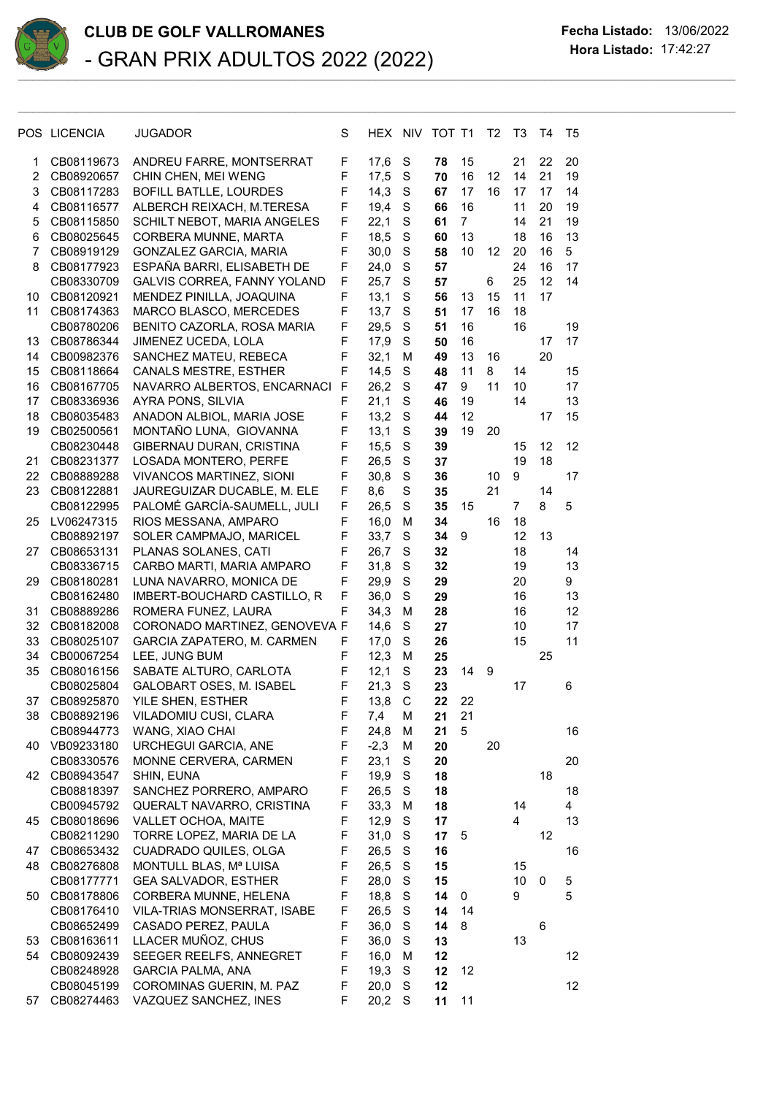

## **CLUB DE GOLF VALLROMANES Fecha Listado:** 13/06/2022 **Hora Listado:** 17:42:27<br>
- GRAN PRIX ADULTOS 2022 (2022) Hora Listado: 17:42:27

 $\mathcal{L}_\mathcal{L} = \mathcal{L}_\mathcal{L} = \mathcal{L}_\mathcal{L} = \mathcal{L}_\mathcal{L} = \mathcal{L}_\mathcal{L} = \mathcal{L}_\mathcal{L} = \mathcal{L}_\mathcal{L} = \mathcal{L}_\mathcal{L} = \mathcal{L}_\mathcal{L} = \mathcal{L}_\mathcal{L} = \mathcal{L}_\mathcal{L} = \mathcal{L}_\mathcal{L} = \mathcal{L}_\mathcal{L} = \mathcal{L}_\mathcal{L} = \mathcal{L}_\mathcal{L} = \mathcal{L}_\mathcal{L} = \mathcal{L}_\mathcal{L}$ 

| POS LICENCIA | JUGADOR                                                                                                                                                                                                                                                                                                                                                                                                                                                                                                                                                                                    | S                                                                                                                                                                                                                                                                                                                                                                                                                                                                                                                                                                                                                                                                                                                                                                                                                                                                                                                                                                                                                                                                                                                                                                      | HEX.                                                                                                                                                                                                                        | <b>NIV</b>                                                                                                                                                                                                                                                                                                                                           |                                                                                                                                                                                                                                                                                                                                                   |                                                                                                                                                                                                                                                          | T <sub>2</sub>                                                                                      | T3                                                                | T4                                                                                                                                                     | T5                                                                |
|--------------|--------------------------------------------------------------------------------------------------------------------------------------------------------------------------------------------------------------------------------------------------------------------------------------------------------------------------------------------------------------------------------------------------------------------------------------------------------------------------------------------------------------------------------------------------------------------------------------------|------------------------------------------------------------------------------------------------------------------------------------------------------------------------------------------------------------------------------------------------------------------------------------------------------------------------------------------------------------------------------------------------------------------------------------------------------------------------------------------------------------------------------------------------------------------------------------------------------------------------------------------------------------------------------------------------------------------------------------------------------------------------------------------------------------------------------------------------------------------------------------------------------------------------------------------------------------------------------------------------------------------------------------------------------------------------------------------------------------------------------------------------------------------------|-----------------------------------------------------------------------------------------------------------------------------------------------------------------------------------------------------------------------------|------------------------------------------------------------------------------------------------------------------------------------------------------------------------------------------------------------------------------------------------------------------------------------------------------------------------------------------------------|---------------------------------------------------------------------------------------------------------------------------------------------------------------------------------------------------------------------------------------------------------------------------------------------------------------------------------------------------|----------------------------------------------------------------------------------------------------------------------------------------------------------------------------------------------------------------------------------------------------------|-----------------------------------------------------------------------------------------------------|-------------------------------------------------------------------|--------------------------------------------------------------------------------------------------------------------------------------------------------|-------------------------------------------------------------------|
| CB08119673   | ANDREU FARRE, MONTSERRAT                                                                                                                                                                                                                                                                                                                                                                                                                                                                                                                                                                   | F                                                                                                                                                                                                                                                                                                                                                                                                                                                                                                                                                                                                                                                                                                                                                                                                                                                                                                                                                                                                                                                                                                                                                                      | 17,6                                                                                                                                                                                                                        | S                                                                                                                                                                                                                                                                                                                                                    | 78                                                                                                                                                                                                                                                                                                                                                | 15                                                                                                                                                                                                                                                       |                                                                                                     | 21                                                                | 22                                                                                                                                                     | 20                                                                |
| CB08920657   |                                                                                                                                                                                                                                                                                                                                                                                                                                                                                                                                                                                            |                                                                                                                                                                                                                                                                                                                                                                                                                                                                                                                                                                                                                                                                                                                                                                                                                                                                                                                                                                                                                                                                                                                                                                        | 17,5                                                                                                                                                                                                                        | S                                                                                                                                                                                                                                                                                                                                                    | 70                                                                                                                                                                                                                                                                                                                                                | 16                                                                                                                                                                                                                                                       | 12                                                                                                  | 14                                                                | 21                                                                                                                                                     | 19                                                                |
| CB08117283   | BOFILL BATLLE, LOURDES                                                                                                                                                                                                                                                                                                                                                                                                                                                                                                                                                                     | F                                                                                                                                                                                                                                                                                                                                                                                                                                                                                                                                                                                                                                                                                                                                                                                                                                                                                                                                                                                                                                                                                                                                                                      | 14,3                                                                                                                                                                                                                        | S                                                                                                                                                                                                                                                                                                                                                    | 67                                                                                                                                                                                                                                                                                                                                                | 17                                                                                                                                                                                                                                                       | 16                                                                                                  | 17                                                                | 17                                                                                                                                                     | 14                                                                |
| CB08116577   | ALBERCH REIXACH, M.TERESA                                                                                                                                                                                                                                                                                                                                                                                                                                                                                                                                                                  | F                                                                                                                                                                                                                                                                                                                                                                                                                                                                                                                                                                                                                                                                                                                                                                                                                                                                                                                                                                                                                                                                                                                                                                      | 19,4                                                                                                                                                                                                                        | S                                                                                                                                                                                                                                                                                                                                                    | 66                                                                                                                                                                                                                                                                                                                                                | 16                                                                                                                                                                                                                                                       |                                                                                                     | 11                                                                | 20                                                                                                                                                     | 19                                                                |
| CB08115850   | SCHILT NEBOT, MARIA ANGELES                                                                                                                                                                                                                                                                                                                                                                                                                                                                                                                                                                | F                                                                                                                                                                                                                                                                                                                                                                                                                                                                                                                                                                                                                                                                                                                                                                                                                                                                                                                                                                                                                                                                                                                                                                      | 22,1                                                                                                                                                                                                                        | S                                                                                                                                                                                                                                                                                                                                                    | 61                                                                                                                                                                                                                                                                                                                                                | $\overline{7}$                                                                                                                                                                                                                                           |                                                                                                     | 14                                                                | 21                                                                                                                                                     | 19                                                                |
| CB08025645   | CORBERA MUNNE, MARTA                                                                                                                                                                                                                                                                                                                                                                                                                                                                                                                                                                       | F                                                                                                                                                                                                                                                                                                                                                                                                                                                                                                                                                                                                                                                                                                                                                                                                                                                                                                                                                                                                                                                                                                                                                                      | 18,5                                                                                                                                                                                                                        | $\mathbf S$                                                                                                                                                                                                                                                                                                                                          | 60                                                                                                                                                                                                                                                                                                                                                | 13                                                                                                                                                                                                                                                       |                                                                                                     | 18                                                                | 16                                                                                                                                                     | 13                                                                |
| CB08919129   | GONZALEZ GARCIA, MARIA                                                                                                                                                                                                                                                                                                                                                                                                                                                                                                                                                                     | F                                                                                                                                                                                                                                                                                                                                                                                                                                                                                                                                                                                                                                                                                                                                                                                                                                                                                                                                                                                                                                                                                                                                                                      | 30,0                                                                                                                                                                                                                        | $\mathbf S$                                                                                                                                                                                                                                                                                                                                          | 58                                                                                                                                                                                                                                                                                                                                                | 10                                                                                                                                                                                                                                                       | 12                                                                                                  | 20                                                                | 16                                                                                                                                                     | 5                                                                 |
| CB08177923   |                                                                                                                                                                                                                                                                                                                                                                                                                                                                                                                                                                                            | F                                                                                                                                                                                                                                                                                                                                                                                                                                                                                                                                                                                                                                                                                                                                                                                                                                                                                                                                                                                                                                                                                                                                                                      |                                                                                                                                                                                                                             |                                                                                                                                                                                                                                                                                                                                                      | 57                                                                                                                                                                                                                                                                                                                                                |                                                                                                                                                                                                                                                          |                                                                                                     | 24                                                                | 16                                                                                                                                                     | 17                                                                |
|              |                                                                                                                                                                                                                                                                                                                                                                                                                                                                                                                                                                                            |                                                                                                                                                                                                                                                                                                                                                                                                                                                                                                                                                                                                                                                                                                                                                                                                                                                                                                                                                                                                                                                                                                                                                                        |                                                                                                                                                                                                                             |                                                                                                                                                                                                                                                                                                                                                      |                                                                                                                                                                                                                                                                                                                                                   |                                                                                                                                                                                                                                                          |                                                                                                     |                                                                   | 12                                                                                                                                                     | 14                                                                |
|              |                                                                                                                                                                                                                                                                                                                                                                                                                                                                                                                                                                                            |                                                                                                                                                                                                                                                                                                                                                                                                                                                                                                                                                                                                                                                                                                                                                                                                                                                                                                                                                                                                                                                                                                                                                                        |                                                                                                                                                                                                                             |                                                                                                                                                                                                                                                                                                                                                      |                                                                                                                                                                                                                                                                                                                                                   |                                                                                                                                                                                                                                                          |                                                                                                     |                                                                   |                                                                                                                                                        |                                                                   |
|              |                                                                                                                                                                                                                                                                                                                                                                                                                                                                                                                                                                                            |                                                                                                                                                                                                                                                                                                                                                                                                                                                                                                                                                                                                                                                                                                                                                                                                                                                                                                                                                                                                                                                                                                                                                                        |                                                                                                                                                                                                                             |                                                                                                                                                                                                                                                                                                                                                      |                                                                                                                                                                                                                                                                                                                                                   |                                                                                                                                                                                                                                                          |                                                                                                     |                                                                   |                                                                                                                                                        |                                                                   |
|              |                                                                                                                                                                                                                                                                                                                                                                                                                                                                                                                                                                                            |                                                                                                                                                                                                                                                                                                                                                                                                                                                                                                                                                                                                                                                                                                                                                                                                                                                                                                                                                                                                                                                                                                                                                                        |                                                                                                                                                                                                                             |                                                                                                                                                                                                                                                                                                                                                      |                                                                                                                                                                                                                                                                                                                                                   |                                                                                                                                                                                                                                                          |                                                                                                     |                                                                   |                                                                                                                                                        | 19                                                                |
|              |                                                                                                                                                                                                                                                                                                                                                                                                                                                                                                                                                                                            |                                                                                                                                                                                                                                                                                                                                                                                                                                                                                                                                                                                                                                                                                                                                                                                                                                                                                                                                                                                                                                                                                                                                                                        |                                                                                                                                                                                                                             |                                                                                                                                                                                                                                                                                                                                                      |                                                                                                                                                                                                                                                                                                                                                   |                                                                                                                                                                                                                                                          |                                                                                                     |                                                                   |                                                                                                                                                        | 17                                                                |
|              |                                                                                                                                                                                                                                                                                                                                                                                                                                                                                                                                                                                            |                                                                                                                                                                                                                                                                                                                                                                                                                                                                                                                                                                                                                                                                                                                                                                                                                                                                                                                                                                                                                                                                                                                                                                        |                                                                                                                                                                                                                             |                                                                                                                                                                                                                                                                                                                                                      |                                                                                                                                                                                                                                                                                                                                                   |                                                                                                                                                                                                                                                          |                                                                                                     |                                                                   |                                                                                                                                                        |                                                                   |
|              |                                                                                                                                                                                                                                                                                                                                                                                                                                                                                                                                                                                            |                                                                                                                                                                                                                                                                                                                                                                                                                                                                                                                                                                                                                                                                                                                                                                                                                                                                                                                                                                                                                                                                                                                                                                        |                                                                                                                                                                                                                             |                                                                                                                                                                                                                                                                                                                                                      |                                                                                                                                                                                                                                                                                                                                                   |                                                                                                                                                                                                                                                          |                                                                                                     |                                                                   |                                                                                                                                                        | 15                                                                |
|              |                                                                                                                                                                                                                                                                                                                                                                                                                                                                                                                                                                                            |                                                                                                                                                                                                                                                                                                                                                                                                                                                                                                                                                                                                                                                                                                                                                                                                                                                                                                                                                                                                                                                                                                                                                                        |                                                                                                                                                                                                                             |                                                                                                                                                                                                                                                                                                                                                      |                                                                                                                                                                                                                                                                                                                                                   |                                                                                                                                                                                                                                                          |                                                                                                     |                                                                   |                                                                                                                                                        | 17                                                                |
|              |                                                                                                                                                                                                                                                                                                                                                                                                                                                                                                                                                                                            |                                                                                                                                                                                                                                                                                                                                                                                                                                                                                                                                                                                                                                                                                                                                                                                                                                                                                                                                                                                                                                                                                                                                                                        |                                                                                                                                                                                                                             |                                                                                                                                                                                                                                                                                                                                                      |                                                                                                                                                                                                                                                                                                                                                   |                                                                                                                                                                                                                                                          |                                                                                                     |                                                                   |                                                                                                                                                        | 13                                                                |
|              |                                                                                                                                                                                                                                                                                                                                                                                                                                                                                                                                                                                            |                                                                                                                                                                                                                                                                                                                                                                                                                                                                                                                                                                                                                                                                                                                                                                                                                                                                                                                                                                                                                                                                                                                                                                        |                                                                                                                                                                                                                             |                                                                                                                                                                                                                                                                                                                                                      |                                                                                                                                                                                                                                                                                                                                                   |                                                                                                                                                                                                                                                          |                                                                                                     |                                                                   |                                                                                                                                                        | 15                                                                |
|              |                                                                                                                                                                                                                                                                                                                                                                                                                                                                                                                                                                                            |                                                                                                                                                                                                                                                                                                                                                                                                                                                                                                                                                                                                                                                                                                                                                                                                                                                                                                                                                                                                                                                                                                                                                                        |                                                                                                                                                                                                                             |                                                                                                                                                                                                                                                                                                                                                      |                                                                                                                                                                                                                                                                                                                                                   |                                                                                                                                                                                                                                                          |                                                                                                     |                                                                   |                                                                                                                                                        |                                                                   |
|              |                                                                                                                                                                                                                                                                                                                                                                                                                                                                                                                                                                                            |                                                                                                                                                                                                                                                                                                                                                                                                                                                                                                                                                                                                                                                                                                                                                                                                                                                                                                                                                                                                                                                                                                                                                                        |                                                                                                                                                                                                                             |                                                                                                                                                                                                                                                                                                                                                      |                                                                                                                                                                                                                                                                                                                                                   |                                                                                                                                                                                                                                                          |                                                                                                     |                                                                   |                                                                                                                                                        | 12                                                                |
|              |                                                                                                                                                                                                                                                                                                                                                                                                                                                                                                                                                                                            |                                                                                                                                                                                                                                                                                                                                                                                                                                                                                                                                                                                                                                                                                                                                                                                                                                                                                                                                                                                                                                                                                                                                                                        |                                                                                                                                                                                                                             |                                                                                                                                                                                                                                                                                                                                                      |                                                                                                                                                                                                                                                                                                                                                   |                                                                                                                                                                                                                                                          |                                                                                                     |                                                                   |                                                                                                                                                        |                                                                   |
|              |                                                                                                                                                                                                                                                                                                                                                                                                                                                                                                                                                                                            |                                                                                                                                                                                                                                                                                                                                                                                                                                                                                                                                                                                                                                                                                                                                                                                                                                                                                                                                                                                                                                                                                                                                                                        |                                                                                                                                                                                                                             |                                                                                                                                                                                                                                                                                                                                                      |                                                                                                                                                                                                                                                                                                                                                   |                                                                                                                                                                                                                                                          |                                                                                                     |                                                                   |                                                                                                                                                        | 17                                                                |
|              |                                                                                                                                                                                                                                                                                                                                                                                                                                                                                                                                                                                            |                                                                                                                                                                                                                                                                                                                                                                                                                                                                                                                                                                                                                                                                                                                                                                                                                                                                                                                                                                                                                                                                                                                                                                        |                                                                                                                                                                                                                             |                                                                                                                                                                                                                                                                                                                                                      |                                                                                                                                                                                                                                                                                                                                                   |                                                                                                                                                                                                                                                          |                                                                                                     |                                                                   |                                                                                                                                                        |                                                                   |
|              |                                                                                                                                                                                                                                                                                                                                                                                                                                                                                                                                                                                            |                                                                                                                                                                                                                                                                                                                                                                                                                                                                                                                                                                                                                                                                                                                                                                                                                                                                                                                                                                                                                                                                                                                                                                        |                                                                                                                                                                                                                             |                                                                                                                                                                                                                                                                                                                                                      |                                                                                                                                                                                                                                                                                                                                                   |                                                                                                                                                                                                                                                          |                                                                                                     |                                                                   |                                                                                                                                                        | 5                                                                 |
|              |                                                                                                                                                                                                                                                                                                                                                                                                                                                                                                                                                                                            |                                                                                                                                                                                                                                                                                                                                                                                                                                                                                                                                                                                                                                                                                                                                                                                                                                                                                                                                                                                                                                                                                                                                                                        |                                                                                                                                                                                                                             |                                                                                                                                                                                                                                                                                                                                                      |                                                                                                                                                                                                                                                                                                                                                   |                                                                                                                                                                                                                                                          |                                                                                                     |                                                                   |                                                                                                                                                        |                                                                   |
|              |                                                                                                                                                                                                                                                                                                                                                                                                                                                                                                                                                                                            |                                                                                                                                                                                                                                                                                                                                                                                                                                                                                                                                                                                                                                                                                                                                                                                                                                                                                                                                                                                                                                                                                                                                                                        |                                                                                                                                                                                                                             |                                                                                                                                                                                                                                                                                                                                                      |                                                                                                                                                                                                                                                                                                                                                   |                                                                                                                                                                                                                                                          |                                                                                                     |                                                                   |                                                                                                                                                        |                                                                   |
|              |                                                                                                                                                                                                                                                                                                                                                                                                                                                                                                                                                                                            |                                                                                                                                                                                                                                                                                                                                                                                                                                                                                                                                                                                                                                                                                                                                                                                                                                                                                                                                                                                                                                                                                                                                                                        |                                                                                                                                                                                                                             |                                                                                                                                                                                                                                                                                                                                                      |                                                                                                                                                                                                                                                                                                                                                   |                                                                                                                                                                                                                                                          |                                                                                                     |                                                                   |                                                                                                                                                        | 14                                                                |
|              |                                                                                                                                                                                                                                                                                                                                                                                                                                                                                                                                                                                            |                                                                                                                                                                                                                                                                                                                                                                                                                                                                                                                                                                                                                                                                                                                                                                                                                                                                                                                                                                                                                                                                                                                                                                        |                                                                                                                                                                                                                             |                                                                                                                                                                                                                                                                                                                                                      |                                                                                                                                                                                                                                                                                                                                                   |                                                                                                                                                                                                                                                          |                                                                                                     |                                                                   |                                                                                                                                                        | 13                                                                |
|              |                                                                                                                                                                                                                                                                                                                                                                                                                                                                                                                                                                                            |                                                                                                                                                                                                                                                                                                                                                                                                                                                                                                                                                                                                                                                                                                                                                                                                                                                                                                                                                                                                                                                                                                                                                                        |                                                                                                                                                                                                                             |                                                                                                                                                                                                                                                                                                                                                      |                                                                                                                                                                                                                                                                                                                                                   |                                                                                                                                                                                                                                                          |                                                                                                     |                                                                   |                                                                                                                                                        | 9                                                                 |
|              |                                                                                                                                                                                                                                                                                                                                                                                                                                                                                                                                                                                            |                                                                                                                                                                                                                                                                                                                                                                                                                                                                                                                                                                                                                                                                                                                                                                                                                                                                                                                                                                                                                                                                                                                                                                        |                                                                                                                                                                                                                             |                                                                                                                                                                                                                                                                                                                                                      |                                                                                                                                                                                                                                                                                                                                                   |                                                                                                                                                                                                                                                          |                                                                                                     |                                                                   |                                                                                                                                                        | 13                                                                |
|              |                                                                                                                                                                                                                                                                                                                                                                                                                                                                                                                                                                                            |                                                                                                                                                                                                                                                                                                                                                                                                                                                                                                                                                                                                                                                                                                                                                                                                                                                                                                                                                                                                                                                                                                                                                                        |                                                                                                                                                                                                                             |                                                                                                                                                                                                                                                                                                                                                      |                                                                                                                                                                                                                                                                                                                                                   |                                                                                                                                                                                                                                                          |                                                                                                     |                                                                   |                                                                                                                                                        | 12                                                                |
|              |                                                                                                                                                                                                                                                                                                                                                                                                                                                                                                                                                                                            |                                                                                                                                                                                                                                                                                                                                                                                                                                                                                                                                                                                                                                                                                                                                                                                                                                                                                                                                                                                                                                                                                                                                                                        |                                                                                                                                                                                                                             |                                                                                                                                                                                                                                                                                                                                                      |                                                                                                                                                                                                                                                                                                                                                   |                                                                                                                                                                                                                                                          |                                                                                                     |                                                                   |                                                                                                                                                        | 17                                                                |
|              |                                                                                                                                                                                                                                                                                                                                                                                                                                                                                                                                                                                            |                                                                                                                                                                                                                                                                                                                                                                                                                                                                                                                                                                                                                                                                                                                                                                                                                                                                                                                                                                                                                                                                                                                                                                        |                                                                                                                                                                                                                             |                                                                                                                                                                                                                                                                                                                                                      |                                                                                                                                                                                                                                                                                                                                                   |                                                                                                                                                                                                                                                          |                                                                                                     |                                                                   |                                                                                                                                                        | 11                                                                |
|              |                                                                                                                                                                                                                                                                                                                                                                                                                                                                                                                                                                                            |                                                                                                                                                                                                                                                                                                                                                                                                                                                                                                                                                                                                                                                                                                                                                                                                                                                                                                                                                                                                                                                                                                                                                                        |                                                                                                                                                                                                                             |                                                                                                                                                                                                                                                                                                                                                      |                                                                                                                                                                                                                                                                                                                                                   |                                                                                                                                                                                                                                                          |                                                                                                     |                                                                   |                                                                                                                                                        |                                                                   |
|              |                                                                                                                                                                                                                                                                                                                                                                                                                                                                                                                                                                                            |                                                                                                                                                                                                                                                                                                                                                                                                                                                                                                                                                                                                                                                                                                                                                                                                                                                                                                                                                                                                                                                                                                                                                                        |                                                                                                                                                                                                                             |                                                                                                                                                                                                                                                                                                                                                      |                                                                                                                                                                                                                                                                                                                                                   |                                                                                                                                                                                                                                                          |                                                                                                     |                                                                   |                                                                                                                                                        |                                                                   |
|              |                                                                                                                                                                                                                                                                                                                                                                                                                                                                                                                                                                                            |                                                                                                                                                                                                                                                                                                                                                                                                                                                                                                                                                                                                                                                                                                                                                                                                                                                                                                                                                                                                                                                                                                                                                                        |                                                                                                                                                                                                                             |                                                                                                                                                                                                                                                                                                                                                      |                                                                                                                                                                                                                                                                                                                                                   |                                                                                                                                                                                                                                                          |                                                                                                     |                                                                   |                                                                                                                                                        | 6                                                                 |
|              |                                                                                                                                                                                                                                                                                                                                                                                                                                                                                                                                                                                            |                                                                                                                                                                                                                                                                                                                                                                                                                                                                                                                                                                                                                                                                                                                                                                                                                                                                                                                                                                                                                                                                                                                                                                        |                                                                                                                                                                                                                             |                                                                                                                                                                                                                                                                                                                                                      |                                                                                                                                                                                                                                                                                                                                                   |                                                                                                                                                                                                                                                          |                                                                                                     |                                                                   |                                                                                                                                                        |                                                                   |
|              |                                                                                                                                                                                                                                                                                                                                                                                                                                                                                                                                                                                            |                                                                                                                                                                                                                                                                                                                                                                                                                                                                                                                                                                                                                                                                                                                                                                                                                                                                                                                                                                                                                                                                                                                                                                        |                                                                                                                                                                                                                             |                                                                                                                                                                                                                                                                                                                                                      |                                                                                                                                                                                                                                                                                                                                                   |                                                                                                                                                                                                                                                          |                                                                                                     |                                                                   |                                                                                                                                                        |                                                                   |
|              |                                                                                                                                                                                                                                                                                                                                                                                                                                                                                                                                                                                            |                                                                                                                                                                                                                                                                                                                                                                                                                                                                                                                                                                                                                                                                                                                                                                                                                                                                                                                                                                                                                                                                                                                                                                        |                                                                                                                                                                                                                             |                                                                                                                                                                                                                                                                                                                                                      |                                                                                                                                                                                                                                                                                                                                                   |                                                                                                                                                                                                                                                          |                                                                                                     |                                                                   |                                                                                                                                                        | 16                                                                |
|              |                                                                                                                                                                                                                                                                                                                                                                                                                                                                                                                                                                                            |                                                                                                                                                                                                                                                                                                                                                                                                                                                                                                                                                                                                                                                                                                                                                                                                                                                                                                                                                                                                                                                                                                                                                                        |                                                                                                                                                                                                                             |                                                                                                                                                                                                                                                                                                                                                      |                                                                                                                                                                                                                                                                                                                                                   |                                                                                                                                                                                                                                                          |                                                                                                     |                                                                   |                                                                                                                                                        |                                                                   |
|              |                                                                                                                                                                                                                                                                                                                                                                                                                                                                                                                                                                                            |                                                                                                                                                                                                                                                                                                                                                                                                                                                                                                                                                                                                                                                                                                                                                                                                                                                                                                                                                                                                                                                                                                                                                                        |                                                                                                                                                                                                                             |                                                                                                                                                                                                                                                                                                                                                      |                                                                                                                                                                                                                                                                                                                                                   |                                                                                                                                                                                                                                                          |                                                                                                     |                                                                   |                                                                                                                                                        | 20                                                                |
|              |                                                                                                                                                                                                                                                                                                                                                                                                                                                                                                                                                                                            |                                                                                                                                                                                                                                                                                                                                                                                                                                                                                                                                                                                                                                                                                                                                                                                                                                                                                                                                                                                                                                                                                                                                                                        |                                                                                                                                                                                                                             |                                                                                                                                                                                                                                                                                                                                                      |                                                                                                                                                                                                                                                                                                                                                   |                                                                                                                                                                                                                                                          |                                                                                                     |                                                                   | 18                                                                                                                                                     |                                                                   |
|              |                                                                                                                                                                                                                                                                                                                                                                                                                                                                                                                                                                                            |                                                                                                                                                                                                                                                                                                                                                                                                                                                                                                                                                                                                                                                                                                                                                                                                                                                                                                                                                                                                                                                                                                                                                                        |                                                                                                                                                                                                                             |                                                                                                                                                                                                                                                                                                                                                      |                                                                                                                                                                                                                                                                                                                                                   |                                                                                                                                                                                                                                                          |                                                                                                     |                                                                   |                                                                                                                                                        | 18                                                                |
|              |                                                                                                                                                                                                                                                                                                                                                                                                                                                                                                                                                                                            |                                                                                                                                                                                                                                                                                                                                                                                                                                                                                                                                                                                                                                                                                                                                                                                                                                                                                                                                                                                                                                                                                                                                                                        |                                                                                                                                                                                                                             |                                                                                                                                                                                                                                                                                                                                                      |                                                                                                                                                                                                                                                                                                                                                   |                                                                                                                                                                                                                                                          |                                                                                                     |                                                                   |                                                                                                                                                        | 4                                                                 |
|              |                                                                                                                                                                                                                                                                                                                                                                                                                                                                                                                                                                                            |                                                                                                                                                                                                                                                                                                                                                                                                                                                                                                                                                                                                                                                                                                                                                                                                                                                                                                                                                                                                                                                                                                                                                                        |                                                                                                                                                                                                                             |                                                                                                                                                                                                                                                                                                                                                      |                                                                                                                                                                                                                                                                                                                                                   |                                                                                                                                                                                                                                                          |                                                                                                     |                                                                   |                                                                                                                                                        | 13                                                                |
|              |                                                                                                                                                                                                                                                                                                                                                                                                                                                                                                                                                                                            |                                                                                                                                                                                                                                                                                                                                                                                                                                                                                                                                                                                                                                                                                                                                                                                                                                                                                                                                                                                                                                                                                                                                                                        |                                                                                                                                                                                                                             |                                                                                                                                                                                                                                                                                                                                                      |                                                                                                                                                                                                                                                                                                                                                   | 5                                                                                                                                                                                                                                                        |                                                                                                     |                                                                   | 12                                                                                                                                                     |                                                                   |
|              |                                                                                                                                                                                                                                                                                                                                                                                                                                                                                                                                                                                            | F                                                                                                                                                                                                                                                                                                                                                                                                                                                                                                                                                                                                                                                                                                                                                                                                                                                                                                                                                                                                                                                                                                                                                                      |                                                                                                                                                                                                                             |                                                                                                                                                                                                                                                                                                                                                      |                                                                                                                                                                                                                                                                                                                                                   |                                                                                                                                                                                                                                                          |                                                                                                     |                                                                   |                                                                                                                                                        | 16                                                                |
| CB08276808   | MONTULL BLAS, Mª LUISA                                                                                                                                                                                                                                                                                                                                                                                                                                                                                                                                                                     | F                                                                                                                                                                                                                                                                                                                                                                                                                                                                                                                                                                                                                                                                                                                                                                                                                                                                                                                                                                                                                                                                                                                                                                      | 26,5                                                                                                                                                                                                                        | ${\mathsf S}$                                                                                                                                                                                                                                                                                                                                        | 15                                                                                                                                                                                                                                                                                                                                                |                                                                                                                                                                                                                                                          |                                                                                                     | 15                                                                |                                                                                                                                                        |                                                                   |
|              |                                                                                                                                                                                                                                                                                                                                                                                                                                                                                                                                                                                            | F                                                                                                                                                                                                                                                                                                                                                                                                                                                                                                                                                                                                                                                                                                                                                                                                                                                                                                                                                                                                                                                                                                                                                                      |                                                                                                                                                                                                                             |                                                                                                                                                                                                                                                                                                                                                      |                                                                                                                                                                                                                                                                                                                                                   |                                                                                                                                                                                                                                                          |                                                                                                     |                                                                   |                                                                                                                                                        | 5                                                                 |
| CB08178806   |                                                                                                                                                                                                                                                                                                                                                                                                                                                                                                                                                                                            | F                                                                                                                                                                                                                                                                                                                                                                                                                                                                                                                                                                                                                                                                                                                                                                                                                                                                                                                                                                                                                                                                                                                                                                      |                                                                                                                                                                                                                             | S                                                                                                                                                                                                                                                                                                                                                    |                                                                                                                                                                                                                                                                                                                                                   | 0                                                                                                                                                                                                                                                        |                                                                                                     | 9                                                                 |                                                                                                                                                        | 5                                                                 |
| CB08176410   | <b>VILA-TRIAS MONSERRAT, ISABE</b>                                                                                                                                                                                                                                                                                                                                                                                                                                                                                                                                                         | F                                                                                                                                                                                                                                                                                                                                                                                                                                                                                                                                                                                                                                                                                                                                                                                                                                                                                                                                                                                                                                                                                                                                                                      | 26,5                                                                                                                                                                                                                        | S                                                                                                                                                                                                                                                                                                                                                    | 14                                                                                                                                                                                                                                                                                                                                                | 14                                                                                                                                                                                                                                                       |                                                                                                     |                                                                   |                                                                                                                                                        |                                                                   |
|              |                                                                                                                                                                                                                                                                                                                                                                                                                                                                                                                                                                                            | F                                                                                                                                                                                                                                                                                                                                                                                                                                                                                                                                                                                                                                                                                                                                                                                                                                                                                                                                                                                                                                                                                                                                                                      |                                                                                                                                                                                                                             | S                                                                                                                                                                                                                                                                                                                                                    |                                                                                                                                                                                                                                                                                                                                                   | 8                                                                                                                                                                                                                                                        |                                                                                                     |                                                                   |                                                                                                                                                        |                                                                   |
| CB08163611   | LLACER MUÑOZ, CHUS                                                                                                                                                                                                                                                                                                                                                                                                                                                                                                                                                                         | F                                                                                                                                                                                                                                                                                                                                                                                                                                                                                                                                                                                                                                                                                                                                                                                                                                                                                                                                                                                                                                                                                                                                                                      | 36,0                                                                                                                                                                                                                        | S                                                                                                                                                                                                                                                                                                                                                    | 13                                                                                                                                                                                                                                                                                                                                                |                                                                                                                                                                                                                                                          |                                                                                                     | 13                                                                |                                                                                                                                                        |                                                                   |
| CB08092439   | SEEGER REELFS, ANNEGRET                                                                                                                                                                                                                                                                                                                                                                                                                                                                                                                                                                    | F                                                                                                                                                                                                                                                                                                                                                                                                                                                                                                                                                                                                                                                                                                                                                                                                                                                                                                                                                                                                                                                                                                                                                                      | 16,0                                                                                                                                                                                                                        | М                                                                                                                                                                                                                                                                                                                                                    | 12                                                                                                                                                                                                                                                                                                                                                |                                                                                                                                                                                                                                                          |                                                                                                     |                                                                   |                                                                                                                                                        | 12                                                                |
| CB08248928   | <b>GARCIA PALMA, ANA</b>                                                                                                                                                                                                                                                                                                                                                                                                                                                                                                                                                                   | F                                                                                                                                                                                                                                                                                                                                                                                                                                                                                                                                                                                                                                                                                                                                                                                                                                                                                                                                                                                                                                                                                                                                                                      | 19,3                                                                                                                                                                                                                        | S                                                                                                                                                                                                                                                                                                                                                    | 12                                                                                                                                                                                                                                                                                                                                                | 12                                                                                                                                                                                                                                                       |                                                                                                     |                                                                   |                                                                                                                                                        |                                                                   |
| CB08045199   | COROMINAS GUERIN, M. PAZ                                                                                                                                                                                                                                                                                                                                                                                                                                                                                                                                                                   | F                                                                                                                                                                                                                                                                                                                                                                                                                                                                                                                                                                                                                                                                                                                                                                                                                                                                                                                                                                                                                                                                                                                                                                      | 20,0                                                                                                                                                                                                                        | S                                                                                                                                                                                                                                                                                                                                                    | 12                                                                                                                                                                                                                                                                                                                                                |                                                                                                                                                                                                                                                          |                                                                                                     |                                                                   |                                                                                                                                                        | 12                                                                |
| CB08274463   | VAZQUEZ SANCHEZ, INES                                                                                                                                                                                                                                                                                                                                                                                                                                                                                                                                                                      | F                                                                                                                                                                                                                                                                                                                                                                                                                                                                                                                                                                                                                                                                                                                                                                                                                                                                                                                                                                                                                                                                                                                                                                      | 20,2                                                                                                                                                                                                                        | S                                                                                                                                                                                                                                                                                                                                                    | 11                                                                                                                                                                                                                                                                                                                                                | 11                                                                                                                                                                                                                                                       |                                                                                                     |                                                                   |                                                                                                                                                        |                                                                   |
|              | CB08330709<br>CB08120921<br>CB08174363<br>CB08780206<br>CB08786344<br>CB00982376<br>CB08118664<br>CB08167705<br>CB08336936<br>CB08035483<br>CB02500561<br>CB08230448<br>CB08231377<br>CB08889288<br>CB08122881<br>CB08122995<br>LV06247315<br>CB08892197<br>CB08653131<br>CB08336715<br>CB08180281<br>CB08162480<br>CB08889286<br>CB08182008<br>CB08025107<br>CB00067254<br>CB08016156<br>CB08025804<br>CB08925870<br>CB08892196<br>CB08944773<br>VB09233180<br>CB08330576<br>CB08943547<br>CB08818397<br>CB00945792<br>CB08018696<br>CB08211290<br>CB08653432<br>CB08177771<br>CB08652499 | CHIN CHEN, MEI WENG<br>ESPAÑA BARRI, ELISABETH DE<br>GALVIS CORREA, FANNY YOLAND<br>MENDEZ PINILLA, JOAQUINA<br>MARCO BLASCO, MERCEDES<br>BENITO CAZORLA, ROSA MARIA<br>JIMENEZ UCEDA, LOLA<br>SANCHEZ MATEU, REBECA<br><b>CANALS MESTRE, ESTHER</b><br>NAVARRO ALBERTOS, ENCARNACI<br>AYRA PONS, SILVIA<br>ANADON ALBIOL, MARIA JOSE<br>MONTAÑO LUNA, GIOVANNA<br>GIBERNAU DURAN, CRISTINA<br>LOSADA MONTERO, PERFE<br><b>VIVANCOS MARTINEZ, SIONI</b><br>JAUREGUIZAR DUCABLE, M. ELE<br>PALOMÉ GARCÍA-SAUMELL, JULI<br>RIOS MESSANA, AMPARO<br>SOLER CAMPMAJO, MARICEL<br>PLANAS SOLANES, CATI<br>CARBO MARTI, MARIA AMPARO<br>LUNA NAVARRO, MONICA DE<br>IMBERT-BOUCHARD CASTILLO, R<br>ROMERA FUNEZ, LAURA<br>GARCIA ZAPATERO, M. CARMEN<br>LEE, JUNG BUM<br>SABATE ALTURO, CARLOTA<br>GALOBART OSES, M. ISABEL<br>YILE SHEN, ESTHER<br>VILADOMIU CUSI, CLARA<br>WANG, XIAO CHAI<br>URCHEGUI GARCIA, ANE<br>MONNE CERVERA, CARMEN<br>SHIN, EUNA<br>SANCHEZ PORRERO, AMPARO<br>QUERALT NAVARRO, CRISTINA<br>VALLET OCHOA, MAITE<br>TORRE LOPEZ, MARIA DE LA<br>CUADRADO QUILES, OLGA<br><b>GEA SALVADOR, ESTHER</b><br>CORBERA MUNNE, HELENA<br>CASADO PEREZ, PAULA | F<br>F<br>F<br>F<br>F<br>F<br>F<br>F<br>F<br>F<br>F<br>F<br>F<br>F<br>F<br>F<br>F<br>F<br>F<br>F<br>F<br>F<br>F<br>F<br>CORONADO MARTINEZ, GENOVEVA F<br>F<br>F<br>F<br>F<br>F<br>F<br>F<br>F<br>F<br>F<br>F<br>F<br>F<br>F | 24,0<br>25,7<br>13,1<br>13,7<br>29,5<br>17,9<br>32,1<br>14,5<br>26,2<br>21,1<br>13,2<br>13,1<br>15,5<br>26,5<br>30,8<br>8,6<br>26,5<br>16,0<br>33,7<br>26,7<br>31,8<br>29,9<br>36,0<br>34,3<br>14,6<br>17,0<br>12,3<br>12,1<br>21,3<br>13,8<br>7,4<br>24,8<br>$-2,3$<br>23,1<br>19,9<br>26,5<br>33,3<br>12,9<br>31,0<br>26,5<br>28,0<br>18,8<br>36,0 | $\mathbf S$<br>$\mathbf S$<br>$\mathbf S$<br>$\mathbf S$<br>$\mathbf S$<br>S<br>M<br>S<br>S<br>S<br>$\mathbf S$<br>$\mathbf S$<br>$\mathbf S$<br>$\mathbf S$<br>$\mathbf S$<br>$\rm S$<br>$\mathbf S$<br>M<br>S<br>S<br>S<br>S<br>S<br>M<br>S<br>S<br>M<br>S<br>$\mathbf S$<br>C<br>M<br>М<br>M<br>S<br>S<br>S<br>M<br>S<br>S<br>S<br>$\mathbf S$ | 57<br>56<br>51<br>51<br>50<br>49<br>48<br>47<br>46<br>44<br>39<br>39<br>37<br>36<br>35<br>35<br>34<br>34<br>32<br>32<br>29<br>29<br>28<br>27<br>26<br>25<br>23<br>23<br>22<br>21<br>21<br>20<br>20<br>18<br>18<br>18<br>17<br>17<br>16<br>15<br>14<br>14 | TOT T1<br>13<br>17<br>16<br>16<br>13<br>11<br>9<br>19<br>12<br>19<br>15<br>9<br>14<br>22<br>21<br>5 | 6<br>15<br>16<br>16<br>8<br>11<br>20<br>10<br>21<br>16<br>9<br>20 | 25<br>11<br>18<br>16<br>14<br>10<br>14<br>15<br>19<br>9<br>$\overline{7}$<br>18<br>12<br>18<br>19<br>20<br>16<br>16<br>10<br>15<br>17<br>14<br>4<br>10 | 17<br>17<br>20<br>17<br>12<br>18<br>14<br>8<br>13<br>25<br>0<br>6 |